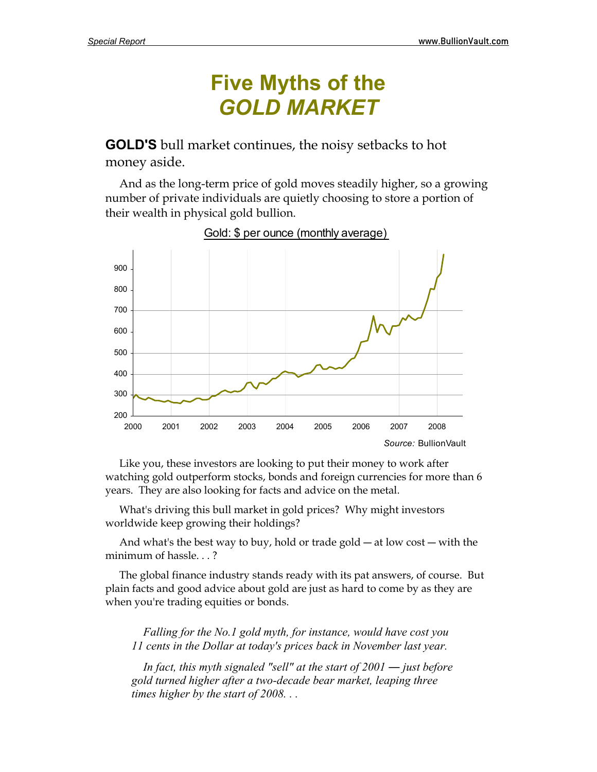# **Five Myths of the**  *GOLD MARKET*

**GOLD'S** bull market continues, the noisy setbacks to hot money aside.

 And as the long-term price of gold moves steadily higher, so a growing number of private individuals are quietly choosing to store a portion of their wealth in physical gold bullion.



Gold: \$ per ounce (monthly average)

 Like you, these investors are looking to put their money to work after watching gold outperform stocks, bonds and foreign currencies for more than 6 years. They are also looking for facts and advice on the metal.

 What's driving this bull market in gold prices? Why might investors worldwide keep growing their holdings?

 And what's the best way to buy, hold or trade gold ― at low cost ― with the minimum of hassle. . . ?

 The global finance industry stands ready with its pat answers, of course. But plain facts and good advice about gold are just as hard to come by as they are when you're trading equities or bonds.

 *Falling for the No.1 gold myth, for instance, would have cost you 11 cents in the Dollar at today's prices back in November last year.* 

*In fact, this myth signaled "sell" at the start of 2001 — just before gold turned higher after a two-decade bear market, leaping three times higher by the start of 2008. . .*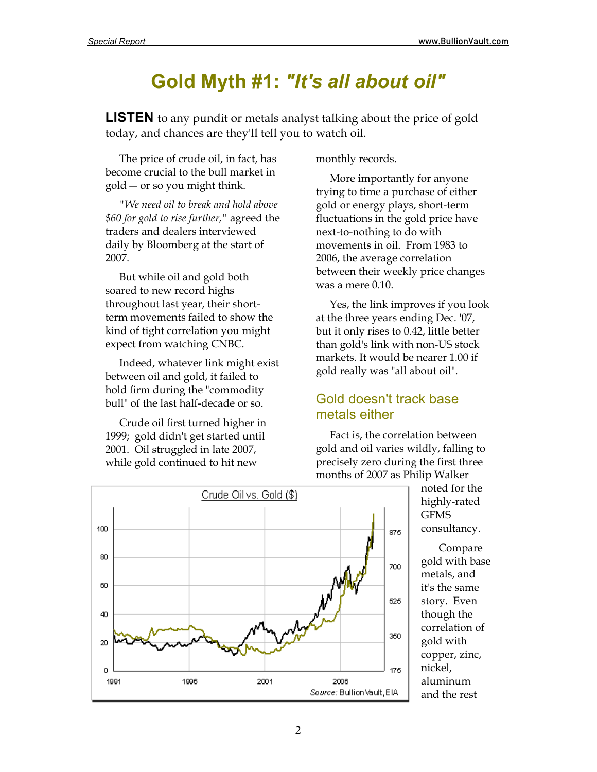## **Gold Myth #1:** *"It's all about oil"*

**LISTEN** to any pundit or metals analyst talking about the price of gold today, and chances are they'll tell you to watch oil.

 The price of crude oil, in fact, has become crucial to the bull market in gold ― or so you might think.

*"We need oil to break and hold above \$60 for gold to rise further,"* agreed the traders and dealers interviewed daily by Bloomberg at the start of 2007.

 But while oil and gold both soared to new record highs throughout last year, their shortterm movements failed to show the kind of tight correlation you might expect from watching CNBC.

 Indeed, whatever link might exist between oil and gold, it failed to hold firm during the "commodity bull" of the last half-decade or so.

 Crude oil first turned higher in 1999; gold didn't get started until 2001. Oil struggled in late 2007, while gold continued to hit new

monthly records.

 More importantly for anyone trying to time a purchase of either gold or energy plays, short-term fluctuations in the gold price have next-to-nothing to do with movements in oil. From 1983 to 2006, the average correlation between their weekly price changes was a mere 0.10.

 Yes, the link improves if you look at the three years ending Dec. '07, but it only rises to 0.42, little better than gold's link with non-US stock markets. It would be nearer 1.00 if gold really was "all about oil".

### Gold doesn't track base metals either

 Fact is, the correlation between gold and oil varies wildly, falling to precisely zero during the first three months of 2007 as Philip Walker

noted for the highly-rated GFMS consultancy.

 Compare gold with base metals, and it's the same story. Even though the correlation of gold with copper, zinc, nickel, aluminum and the rest

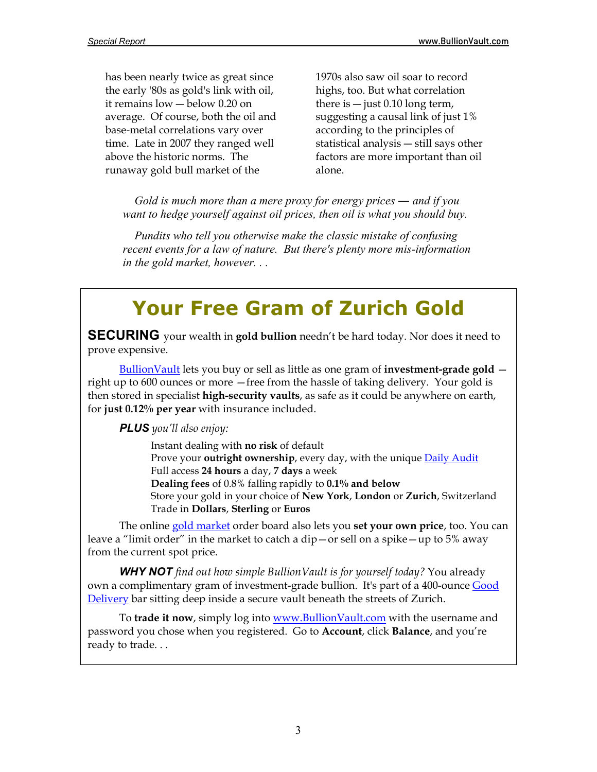has been nearly twice as great since the early '80s as gold's link with oil, it remains low ― below 0.20 on average. Of course, both the oil and base-metal correlations vary over time. Late in 2007 they ranged well above the historic norms. The runaway gold bull market of the

1970s also saw oil soar to record highs, too. But what correlation there is  $-$  just 0.10 long term, suggesting a causal link of just 1% according to the principles of statistical analysis ― still says other factors are more important than oil alone.

*Gold is much more than a mere proxy for energy prices — and if you want to hedge yourself against oil prices, then oil is what you should buy.* 

 *Pundits who tell you otherwise make the classic mistake of confusing recent events for a law of nature. But there's plenty more mis-information in the gold market, however. . .* 

# **Your Free Gram of Zurich Gold**

**SECURING** your wealth in **gold bullion** needn't be hard today. Nor does it need to prove expensive.

[BullionVault](http://www.bullionvault.com/) lets you buy or sell as little as one gram of **investment-grade gold** right up to 600 ounces or more —free from the hassle of taking delivery. Your gold is then stored in specialist **high-security vaults**, as safe as it could be anywhere on earth, for **just 0.12% per year** with insurance included.

*PLUS you'll also enjoy:* 

 Instant dealing with **no risk** of default Prove your **outright ownership**, every day, with the unique [Daily Audit](http://www.bullionvault.com/audit.do)  Full access **24 hours** a day, **7 days** a week **Dealing fees** of 0.8% falling rapidly to **0.1% and below** Store your gold in your choice of **New York**, **London** or **Zurich**, Switzerland Trade in **Dollars**, **Sterling** or **Euros**

 The online [gold market](http://www.bullionvault.com/gold_market.do) order board also lets you **set your own price**, too. You can leave a "limit order" in the market to catch a dip—or sell on a spike—up to 5% away from the current spot price.

*WHY NOT find out how simple BullionVault is for yourself today?* You already own a complimentary gram of investment-grade bullion. It's part of a 400-ounce Good [Delivery](http://www.bullionvault.com/help/?FAQs/FAQs_whyBV.html) bar sitting deep inside a secure vault beneath the streets of Zurich.

 To **trade it now**, simply log into<www.BullionVault.com>with the username and password you chose when you registered. Go to **Account**, click **Balance**, and you're ready to trade. . .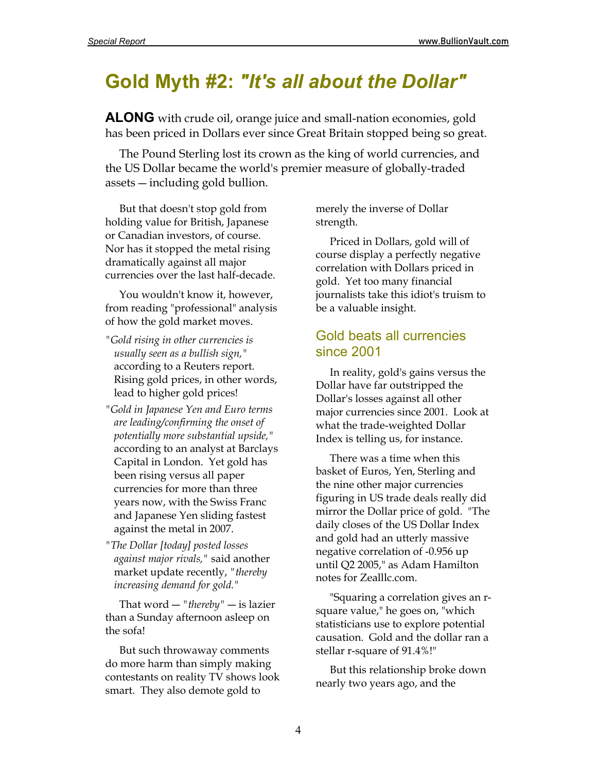## **Gold Myth #2:** *"It's all about the Dollar"*

**ALONG** with crude oil, orange juice and small-nation economies, gold has been priced in Dollars ever since Great Britain stopped being so great.

 The Pound Sterling lost its crown as the king of world currencies, and the US Dollar became the world's premier measure of globally-traded assets ― including gold bullion.

 But that doesn't stop gold from holding value for British, Japanese or Canadian investors, of course. Nor has it stopped the metal rising dramatically against all major currencies over the last half-decade.

 You wouldn't know it, however, from reading "professional" analysis of how the gold market moves.

- *"Gold rising in other currencies is usually seen as a bullish sign,"* according to a Reuters report. Rising gold prices, in other words, lead to higher gold prices!
- *"Gold in Japanese Yen and Euro terms are leading/confirming the onset of potentially more substantial upside,"* according to an analyst at Barclays Capital in London. Yet gold has been rising versus all paper currencies for more than three years now, with the Swiss Franc and Japanese Yen sliding fastest against the metal in 2007.
- *"The Dollar [today] posted losses against major rivals,"* said another market update recently, *"thereby increasing demand for gold."*

 That word ― *"thereby"* ― is lazier than a Sunday afternoon asleep on the sofa!

 But such throwaway comments do more harm than simply making contestants on reality TV shows look smart. They also demote gold to

merely the inverse of Dollar strength.

 Priced in Dollars, gold will of course display a perfectly negative correlation with Dollars priced in gold. Yet too many financial journalists take this idiot's truism to be a valuable insight.

### Gold beats all currencies since 2001

 In reality, gold's gains versus the Dollar have far outstripped the Dollar's losses against all other major currencies since 2001. Look at what the trade-weighted Dollar Index is telling us, for instance.

 There was a time when this basket of Euros, Yen, Sterling and the nine other major currencies figuring in US trade deals really did mirror the Dollar price of gold. "The daily closes of the US Dollar Index and gold had an utterly massive negative correlation of -0.956 up until Q2 2005," as Adam Hamilton notes for Zealllc.com.

 "Squaring a correlation gives an rsquare value," he goes on, "which statisticians use to explore potential causation. Gold and the dollar ran a stellar r-square of 91.4%!"

 But this relationship broke down nearly two years ago, and the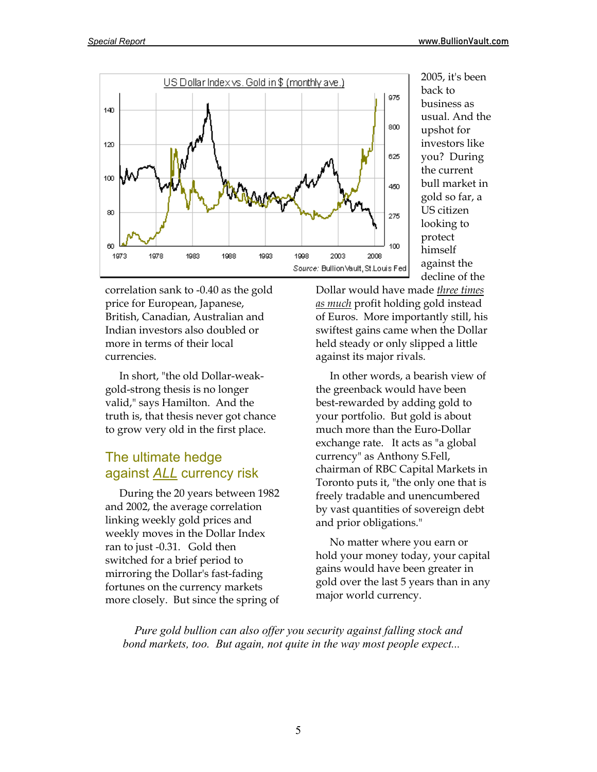

correlation sank to -0.40 as the gold price for European, Japanese, British, Canadian, Australian and Indian investors also doubled or more in terms of their local currencies.

 In short, "the old Dollar-weakgold-strong thesis is no longer valid," says Hamilton. And the truth is, that thesis never got chance to grow very old in the first place.

## The ultimate hedge against *ALL* currency risk

 During the 20 years between 1982 and 2002, the average correlation linking weekly gold prices and weekly moves in the Dollar Index ran to just -0.31. Gold then switched for a brief period to mirroring the Dollar's fast-fading fortunes on the currency markets more closely. But since the spring of

2005, it's been back to business as usual. And the upshot for investors like you? During the current bull market in gold so far, a US citizen looking to protect himself against the decline of the

Dollar would have made *three times as much* profit holding gold instead of Euros. More importantly still, his swiftest gains came when the Dollar held steady or only slipped a little against its major rivals.

 In other words, a bearish view of the greenback would have been best-rewarded by adding gold to your portfolio. But gold is about much more than the Euro-Dollar exchange rate. It acts as "a global currency" as Anthony S.Fell, chairman of RBC Capital Markets in Toronto puts it, "the only one that is freely tradable and unencumbered by vast quantities of sovereign debt and prior obligations."

 No matter where you earn or hold your money today, your capital gains would have been greater in gold over the last 5 years than in any major world currency.

 *Pure gold bullion can also offer you security against falling stock and bond markets, too. But again, not quite in the way most people expect...*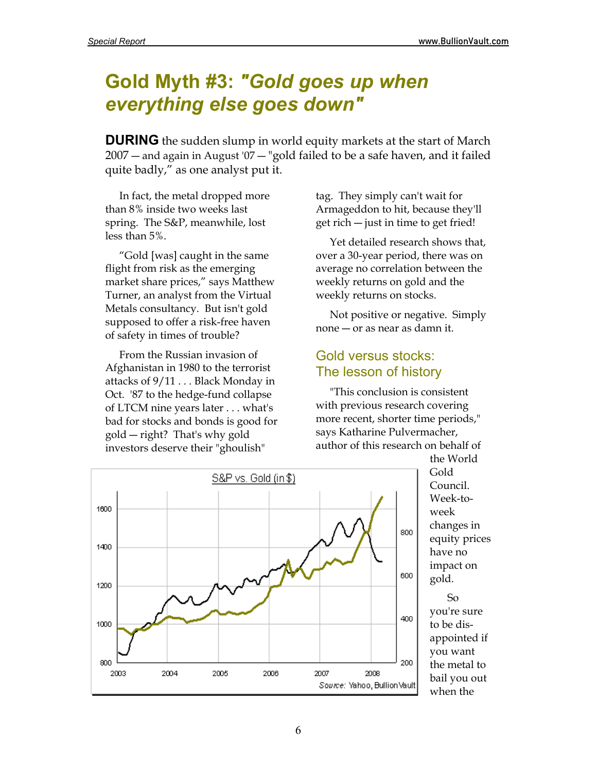## **Gold Myth #3:** *"Gold goes up when everything else goes down"*

**DURING** the sudden slump in world equity markets at the start of March 2007 ― and again in August '07 ― "gold failed to be a safe haven, and it failed quite badly," as one analyst put it.

 In fact, the metal dropped more than 8% inside two weeks last spring. The S&P, meanwhile, lost less than 5%.

 "Gold [was] caught in the same flight from risk as the emerging market share prices," says Matthew Turner, an analyst from the Virtual Metals consultancy. But isn't gold supposed to offer a risk-free haven of safety in times of trouble?

 From the Russian invasion of Afghanistan in 1980 to the terrorist attacks of 9/11 . . . Black Monday in Oct. '87 to the hedge-fund collapse of LTCM nine years later . . . what's bad for stocks and bonds is good for gold ― right? That's why gold investors deserve their "ghoulish"

tag. They simply can't wait for Armageddon to hit, because they'll get rich ― just in time to get fried!

 Yet detailed research shows that, over a 30-year period, there was on average no correlation between the weekly returns on gold and the weekly returns on stocks.

 Not positive or negative. Simply none ― or as near as damn it.

### Gold versus stocks: The lesson of history

 "This conclusion is consistent with previous research covering more recent, shorter time periods," says Katharine Pulvermacher, author of this research on behalf of



the World Gold Council. Week-toweek changes in equity prices have no impact on gold.

 So you're sure to be disappointed if you want the metal to bail you out when the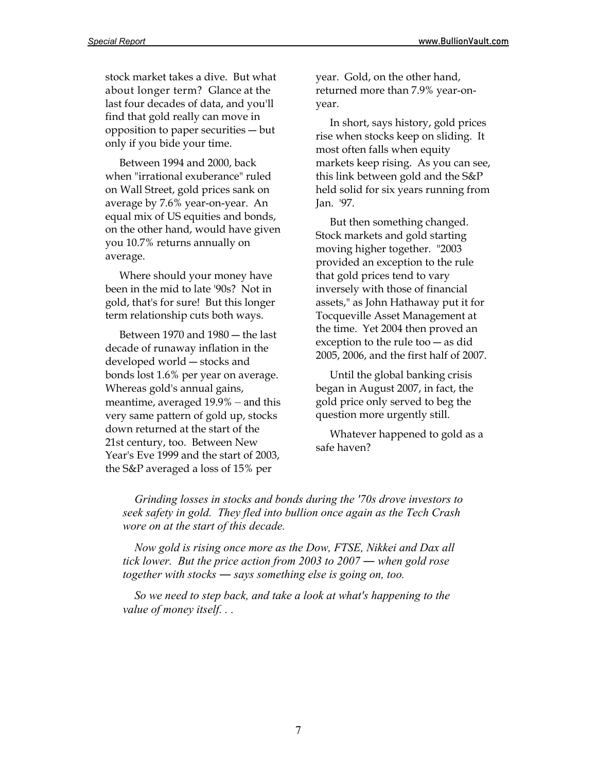stock market takes a dive. But what about longer term? Glance at the last four decades of data, and you'll find that gold really can move in opposition to paper securities ― but only if you bide your time.

 Between 1994 and 2000, back when "irrational exuberance" ruled on Wall Street, gold prices sank on average by 7.6% year-on-year. An equal mix of US equities and bonds, on the other hand, would have given you 10.7% returns annually on average.

 Where should your money have been in the mid to late '90s? Not in gold, that's for sure! But this longer term relationship cuts both ways.

 Between 1970 and 1980 ― the last decade of runaway inflation in the developed world ― stocks and bonds lost 1.6% per year on average. Whereas gold's annual gains, meantime, averaged 19.9% – and this very same pattern of gold up, stocks down returned at the start of the 21st century, too. Between New Year's Eve 1999 and the start of 2003, the S&P averaged a loss of 15% per

year. Gold, on the other hand, returned more than 7.9% year-onyear.

 In short, says history, gold prices rise when stocks keep on sliding. It most often falls when equity markets keep rising. As you can see, this link between gold and the S&P held solid for six years running from Jan. '97.

 But then something changed. Stock markets and gold starting moving higher together. "2003 provided an exception to the rule that gold prices tend to vary inversely with those of financial assets," as John Hathaway put it for Tocqueville Asset Management at the time. Yet 2004 then proved an exception to the rule too ― as did 2005, 2006, and the first half of 2007.

Until the global banking crisis began in August 2007, in fact, the gold price only served to beg the question more urgently still.

 Whatever happened to gold as a safe haven?

 *Grinding losses in stocks and bonds during the '70s drove investors to seek safety in gold. They fled into bullion once again as the Tech Crash wore on at the start of this decade.*

 *Now gold is rising once more as the Dow, FTSE, Nikkei and Dax all tick lower. But the price action from 2003 to 2007 ― when gold rose together with stocks ― says something else is going on, too.* 

 *So we need to step back, and take a look at what's happening to the value of money itself. . .*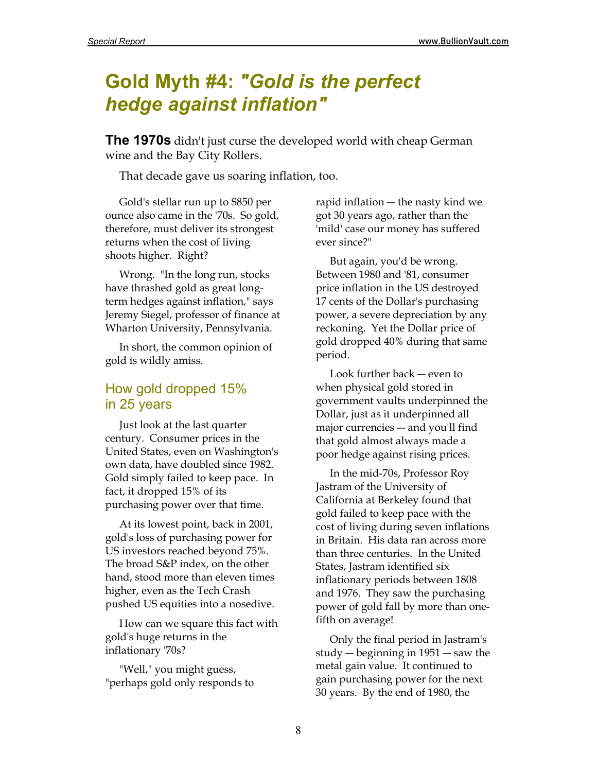## **Gold Myth #4:** *"Gold is the perfect hedge against inflation"*

**The 1970s** didn't just curse the developed world with cheap German wine and the Bay City Rollers.

That decade gave us soaring inflation, too.

 Gold's stellar run up to \$850 per ounce also came in the '70s. So gold, therefore, must deliver its strongest returns when the cost of living shoots higher. Right?

 Wrong. "In the long run, stocks have thrashed gold as great longterm hedges against inflation," says Jeremy Siegel, professor of finance at Wharton University, Pennsylvania.

 In short, the common opinion of gold is wildly amiss.

### How gold dropped 15% in 25 years

 Just look at the last quarter century. Consumer prices in the United States, even on Washington's own data, have doubled since 1982. Gold simply failed to keep pace. In fact, it dropped 15% of its purchasing power over that time.

 At its lowest point, back in 2001, gold's loss of purchasing power for US investors reached beyond 75%. The broad S&P index, on the other hand, stood more than eleven times higher, even as the Tech Crash pushed US equities into a nosedive.

 How can we square this fact with gold's huge returns in the inflationary '70s?

 "Well," you might guess, "perhaps gold only responds to rapid inflation ― the nasty kind we got 30 years ago, rather than the 'mild' case our money has suffered ever since?"

 But again, you'd be wrong. Between 1980 and '81, consumer price inflation in the US destroyed 17 cents of the Dollar's purchasing power, a severe depreciation by any reckoning. Yet the Dollar price of gold dropped 40% during that same period.

 Look further back ― even to when physical gold stored in government vaults underpinned the Dollar, just as it underpinned all major currencies ― and you'll find that gold almost always made a poor hedge against rising prices.

 In the mid-70s, Professor Roy Jastram of the University of California at Berkeley found that gold failed to keep pace with the cost of living during seven inflations in Britain. His data ran across more than three centuries. In the United States, Jastram identified six inflationary periods between 1808 and 1976. They saw the purchasing power of gold fall by more than onefifth on average!

 Only the final period in Jastram's study ― beginning in 1951 ― saw the metal gain value. It continued to gain purchasing power for the next 30 years. By the end of 1980, the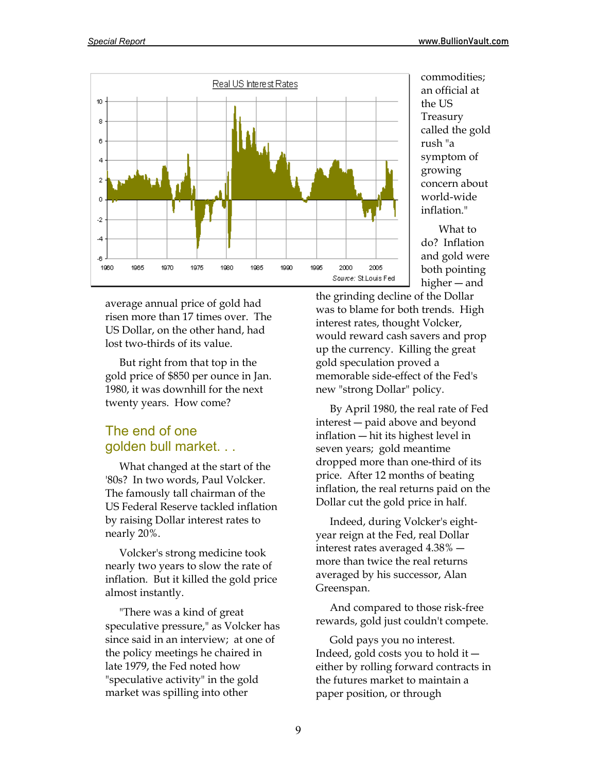

average annual price of gold had risen more than 17 times over. The US Dollar, on the other hand, had lost two-thirds of its value.

 But right from that top in the gold price of \$850 per ounce in Jan. 1980, it was downhill for the next twenty years. How come?

## The end of one golden bull market. . .

 What changed at the start of the '80s? In two words, Paul Volcker. The famously tall chairman of the US Federal Reserve tackled inflation by raising Dollar interest rates to nearly 20%.

 Volcker's strong medicine took nearly two years to slow the rate of inflation. But it killed the gold price almost instantly.

 "There was a kind of great speculative pressure," as Volcker has since said in an interview; at one of the policy meetings he chaired in late 1979, the Fed noted how "speculative activity" in the gold market was spilling into other

commodities; an official at the US Treasury called the gold rush "a symptom of growing concern about world-wide inflation."

 What to do? Inflation and gold were both pointing higher ― and

the grinding decline of the Dollar was to blame for both trends. High interest rates, thought Volcker, would reward cash savers and prop up the currency. Killing the great gold speculation proved a memorable side-effect of the Fed's new "strong Dollar" policy.

 By April 1980, the real rate of Fed interest ― paid above and beyond inflation ― hit its highest level in seven years; gold meantime dropped more than one-third of its price. After 12 months of beating inflation, the real returns paid on the Dollar cut the gold price in half.

 Indeed, during Volcker's eightyear reign at the Fed, real Dollar interest rates averaged 4.38% ― more than twice the real returns averaged by his successor, Alan Greenspan.

 And compared to those risk-free rewards, gold just couldn't compete.

 Gold pays you no interest. Indeed, gold costs you to hold it ― either by rolling forward contracts in the futures market to maintain a paper position, or through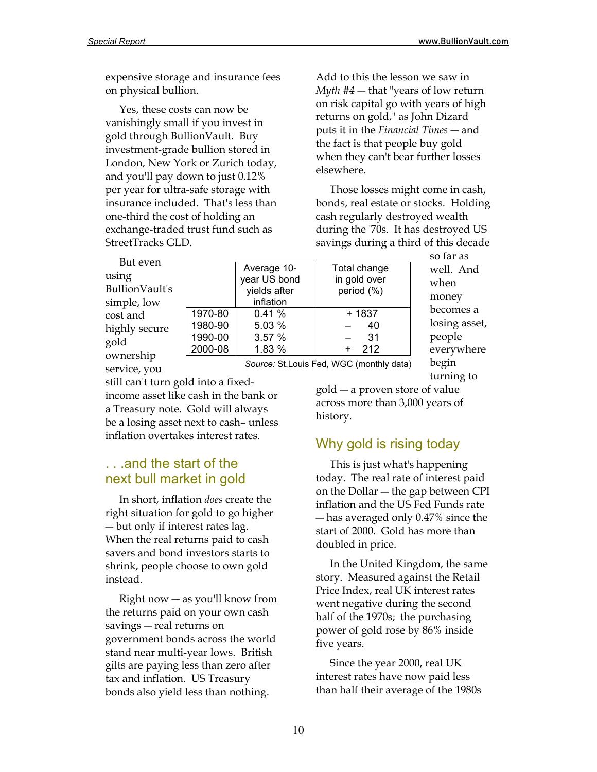expensive storage and insurance fees on physical bullion.

 Yes, these costs can now be vanishingly small if you invest in gold through BullionVault. Buy investment-grade bullion stored in London, New York or Zurich today, and you'll pay down to just 0.12% per year for ultra-safe storage with insurance included. That's less than one-third the cost of holding an exchange-traded trust fund such as StreetTracks GLD.

 But even using BullionVault's simple, low cost and highly secure gold ownership

|         | Average 10-  | Total change |
|---------|--------------|--------------|
|         | year US bond | in gold over |
|         | yields after | period (%)   |
|         | inflation    |              |
| 1970-80 | 0.41%        | + 1837       |
| 1980-90 | 5.03 %       | 40           |
| 1990-00 | 3.57 %       | 31           |
| 2000-08 | 1.83 %       | 212          |
|         |              |              |

so far as well. And when money becomes a losing asset, people everywhere begin turning to

service, you

 *Source:* St.Louis Fed, WGC (monthly data)

still can't turn gold into a fixedincome asset like cash in the bank or a Treasury note. Gold will always be a losing asset next to cash– unless inflation overtakes interest rates.

### . . .and the start of the next bull market in gold

 In short, inflation *does* create the right situation for gold to go higher ― but only if interest rates lag. When the real returns paid to cash savers and bond investors starts to shrink, people choose to own gold instead.

 Right now ― as you'll know from the returns paid on your own cash savings ― real returns on government bonds across the world stand near multi-year lows. British gilts are paying less than zero after tax and inflation. US Treasury bonds also yield less than nothing.

elsewhere.

gold ― a proven store of value across more than 3,000 years of history.

Add to this the lesson we saw in *Myth #4* ― that "years of low return on risk capital go with years of high returns on gold," as John Dizard puts it in the *Financial Times* ― and the fact is that people buy gold when they can't bear further losses

 Those losses might come in cash, bonds, real estate or stocks. Holding cash regularly destroyed wealth during the '70s. It has destroyed US savings during a third of this decade

### Why gold is rising today

 This is just what's happening today. The real rate of interest paid on the Dollar ― the gap between CPI inflation and the US Fed Funds rate ― has averaged only 0.47% since the start of 2000. Gold has more than doubled in price.

 In the United Kingdom, the same story. Measured against the Retail Price Index, real UK interest rates went negative during the second half of the 1970s; the purchasing power of gold rose by 86% inside five years.

 Since the year 2000, real UK interest rates have now paid less than half their average of the 1980s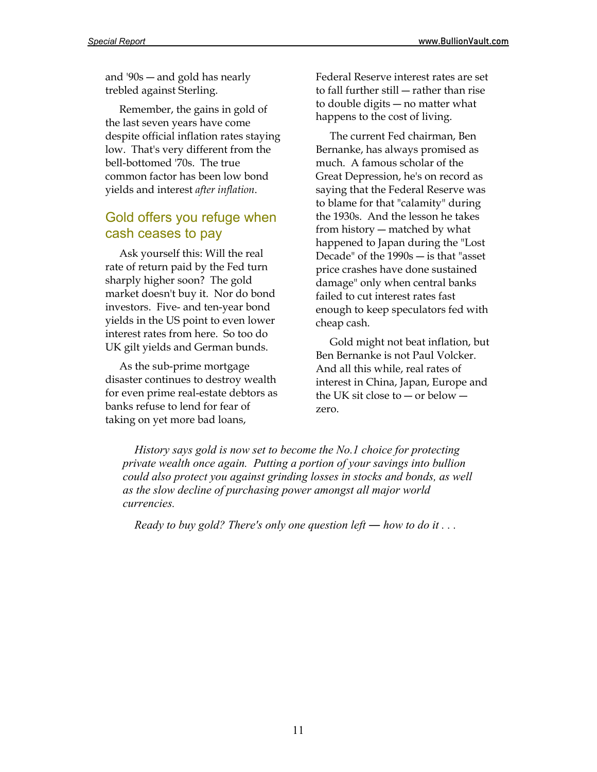and '90s ― and gold has nearly trebled against Sterling.

 Remember, the gains in gold of the last seven years have come despite official inflation rates staying low. That's very different from the bell-bottomed '70s. The true common factor has been low bond yields and interest *after inflation*.

### Gold offers you refuge when cash ceases to pay

 Ask yourself this: Will the real rate of return paid by the Fed turn sharply higher soon? The gold market doesn't buy it. Nor do bond investors. Five- and ten-year bond yields in the US point to even lower interest rates from here. So too do UK gilt yields and German bunds.

 As the sub-prime mortgage disaster continues to destroy wealth for even prime real-estate debtors as banks refuse to lend for fear of taking on yet more bad loans,

Federal Reserve interest rates are set to fall further still ― rather than rise to double digits ― no matter what happens to the cost of living.

 The current Fed chairman, Ben Bernanke, has always promised as much. A famous scholar of the Great Depression, he's on record as saying that the Federal Reserve was to blame for that "calamity" during the 1930s. And the lesson he takes from history ― matched by what happened to Japan during the "Lost Decade" of the 1990s ― is that "asset price crashes have done sustained damage" only when central banks failed to cut interest rates fast enough to keep speculators fed with cheap cash.

 Gold might not beat inflation, but Ben Bernanke is not Paul Volcker. And all this while, real rates of interest in China, Japan, Europe and the UK sit close to ― or below ― zero.

 *History says gold is now set to become the No.1 choice for protecting private wealth once again. Putting a portion of your savings into bullion could also protect you against grinding losses in stocks and bonds, as well as the slow decline of purchasing power amongst all major world currencies.* 

*Ready to buy gold? There's only one question left — how to do it ...*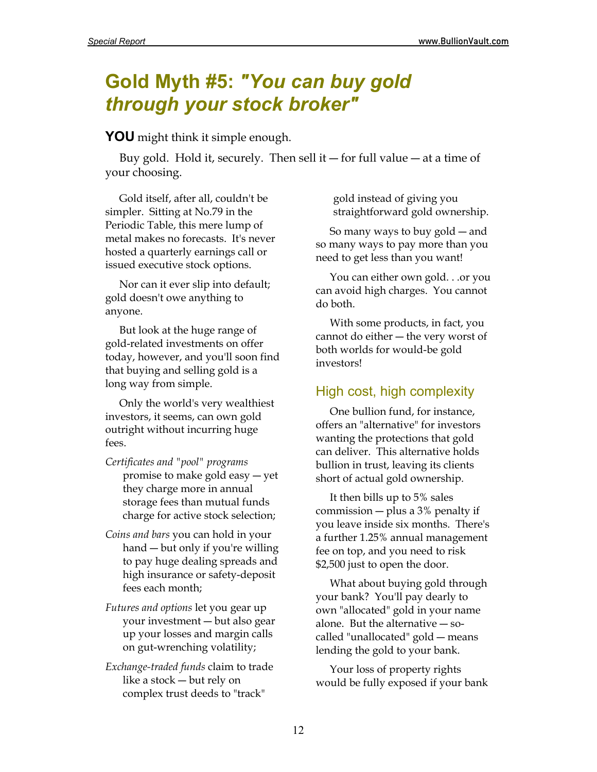## **Gold Myth #5:** *"You can buy gold through your stock broker"*

**YOU** might think it simple enough.

Buy gold. Hold it, securely. Then sell it — for full value — at a time of your choosing.

 Gold itself, after all, couldn't be simpler. Sitting at No.79 in the Periodic Table, this mere lump of metal makes no forecasts. It's never hosted a quarterly earnings call or issued executive stock options.

 Nor can it ever slip into default; gold doesn't owe anything to anyone.

 But look at the huge range of gold-related investments on offer today, however, and you'll soon find that buying and selling gold is a long way from simple.

 Only the world's very wealthiest investors, it seems, can own gold outright without incurring huge fees.

- *Certificates and "pool" programs* promise to make gold easy ― yet they charge more in annual storage fees than mutual funds charge for active stock selection;
- *Coins and bars* you can hold in your hand ― but only if you're willing to pay huge dealing spreads and high insurance or safety-deposit fees each month;
- *Futures and options* let you gear up your investment ― but also gear up your losses and margin calls on gut-wrenching volatility;
- *Exchange-traded funds* claim to trade like a stock ― but rely on complex trust deeds to "track"

gold instead of giving you straightforward gold ownership.

 So many ways to buy gold ― and so many ways to pay more than you need to get less than you want!

 You can either own gold. . .or you can avoid high charges. You cannot do both.

 With some products, in fact, you cannot do either ― the very worst of both worlds for would-be gold investors!

## High cost, high complexity

 One bullion fund, for instance, offers an "alternative" for investors wanting the protections that gold can deliver. This alternative holds bullion in trust, leaving its clients short of actual gold ownership.

 It then bills up to 5% sales commission ― plus a 3% penalty if you leave inside six months. There's a further 1.25% annual management fee on top, and you need to risk \$2,500 just to open the door.

 What about buying gold through your bank? You'll pay dearly to own "allocated" gold in your name alone. But the alternative ― socalled "unallocated" gold ― means lending the gold to your bank.

 Your loss of property rights would be fully exposed if your bank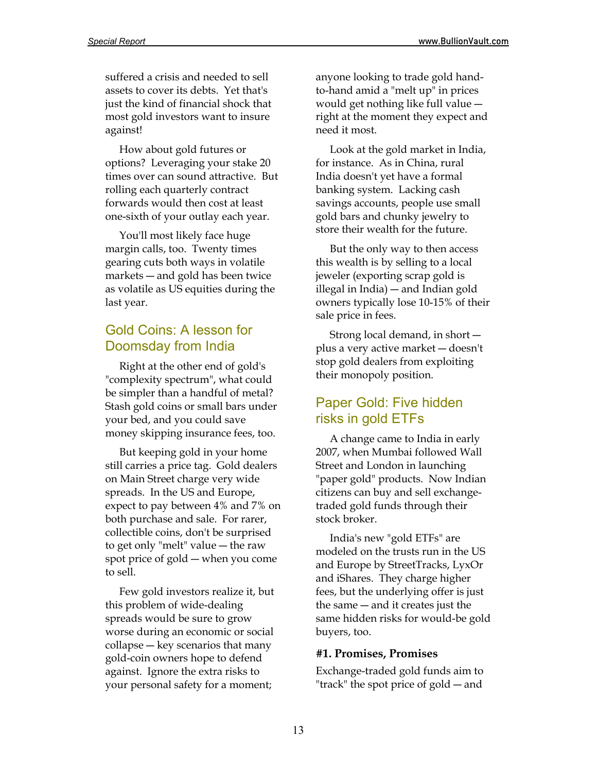suffered a crisis and needed to sell assets to cover its debts. Yet that's just the kind of financial shock that most gold investors want to insure against!

 How about gold futures or options? Leveraging your stake 20 times over can sound attractive. But rolling each quarterly contract forwards would then cost at least one-sixth of your outlay each year.

 You'll most likely face huge margin calls, too. Twenty times gearing cuts both ways in volatile markets ― and gold has been twice as volatile as US equities during the last year.

### Gold Coins: A lesson for Doomsday from India

 Right at the other end of gold's "complexity spectrum", what could be simpler than a handful of metal? Stash gold coins or small bars under your bed, and you could save money skipping insurance fees, too.

 But keeping gold in your home still carries a price tag. Gold dealers on Main Street charge very wide spreads. In the US and Europe, expect to pay between 4% and 7% on both purchase and sale. For rarer, collectible coins, don't be surprised to get only "melt" value ― the raw spot price of gold ― when you come to sell.

 Few gold investors realize it, but this problem of wide-dealing spreads would be sure to grow worse during an economic or social collapse ― key scenarios that many gold-coin owners hope to defend against. Ignore the extra risks to your personal safety for a moment;

anyone looking to trade gold handto-hand amid a "melt up" in prices would get nothing like full value ― right at the moment they expect and need it most.

 Look at the gold market in India, for instance. As in China, rural India doesn't yet have a formal banking system. Lacking cash savings accounts, people use small gold bars and chunky jewelry to store their wealth for the future.

 But the only way to then access this wealth is by selling to a local jeweler (exporting scrap gold is illegal in India) ― and Indian gold owners typically lose 10-15% of their sale price in fees.

 Strong local demand, in short ― plus a very active market ― doesn't stop gold dealers from exploiting their monopoly position.

### Paper Gold: Five hidden risks in gold ETFs

 A change came to India in early 2007, when Mumbai followed Wall Street and London in launching "paper gold" products. Now Indian citizens can buy and sell exchangetraded gold funds through their stock broker.

 India's new "gold ETFs" are modeled on the trusts run in the US and Europe by StreetTracks, LyxOr and iShares. They charge higher fees, but the underlying offer is just the same ― and it creates just the same hidden risks for would-be gold buyers, too.

#### **#1. Promises, Promises**

Exchange-traded gold funds aim to "track" the spot price of gold ― and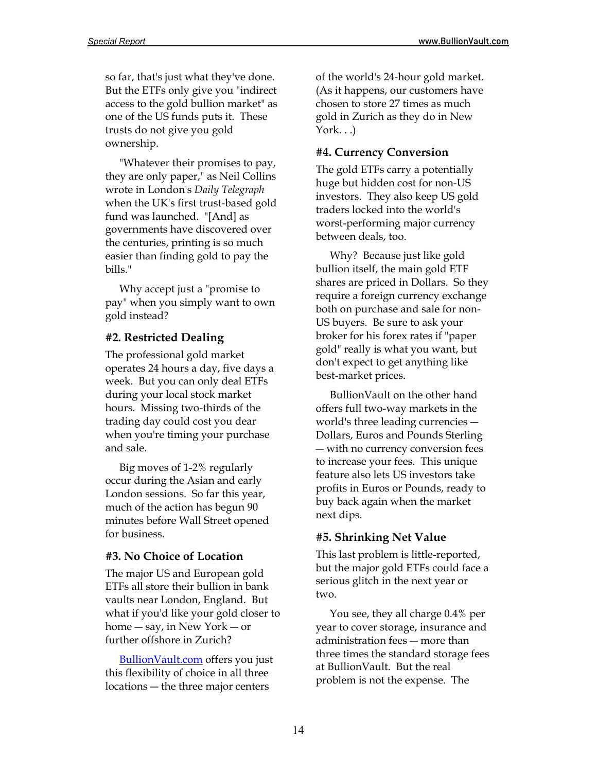so far, that's just what they've done. But the ETFs only give you "indirect access to the gold bullion market" as one of the US funds puts it. These trusts do not give you gold ownership.

 "Whatever their promises to pay, they are only paper," as Neil Collins wrote in London's *Daily Telegraph* when the UK's first trust-based gold fund was launched. "[And] as governments have discovered over the centuries, printing is so much easier than finding gold to pay the bills."

 Why accept just a "promise to pay" when you simply want to own gold instead?

#### **#2. Restricted Dealing**

The professional gold market operates 24 hours a day, five days a week. But you can only deal ETFs during your local stock market hours. Missing two-thirds of the trading day could cost you dear when you're timing your purchase and sale.

 Big moves of 1-2% regularly occur during the Asian and early London sessions. So far this year, much of the action has begun 90 minutes before Wall Street opened for business.

#### **#3. No Choice of Location**

The major US and European gold ETFs all store their bullion in bank vaults near London, England. But what if you'd like your gold closer to home ― say, in New York ― or further offshore in Zurich?

[BullionVault.com](http://www.bullionvault.com/) offers you just this flexibility of choice in all three locations ― the three major centers

of the world's 24-hour gold market. (As it happens, our customers have chosen to store 27 times as much gold in Zurich as they do in New  $York. . .)$ 

#### **#4. Currency Conversion**

The gold ETFs carry a potentially huge but hidden cost for non-US investors. They also keep US gold traders locked into the world's worst-performing major currency between deals, too.

 Why? Because just like gold bullion itself, the main gold ETF shares are priced in Dollars. So they require a foreign currency exchange both on purchase and sale for non-US buyers. Be sure to ask your broker for his forex rates if "paper gold" really is what you want, but don't expect to get anything like best-market prices.

BullionVault on the other hand offers full two-way markets in the world's three leading currencies ― Dollars, Euros and Pounds Sterling ― with no currency conversion fees to increase your fees. This unique feature also lets US investors take profits in Euros or Pounds, ready to buy back again when the market next dips.

### **#5. Shrinking Net Value**

This last problem is little-reported, but the major gold ETFs could face a serious glitch in the next year or two.

 You see, they all charge 0.4% per year to cover storage, insurance and administration fees ― more than three times the standard storage fees at BullionVault. But the real problem is not the expense. The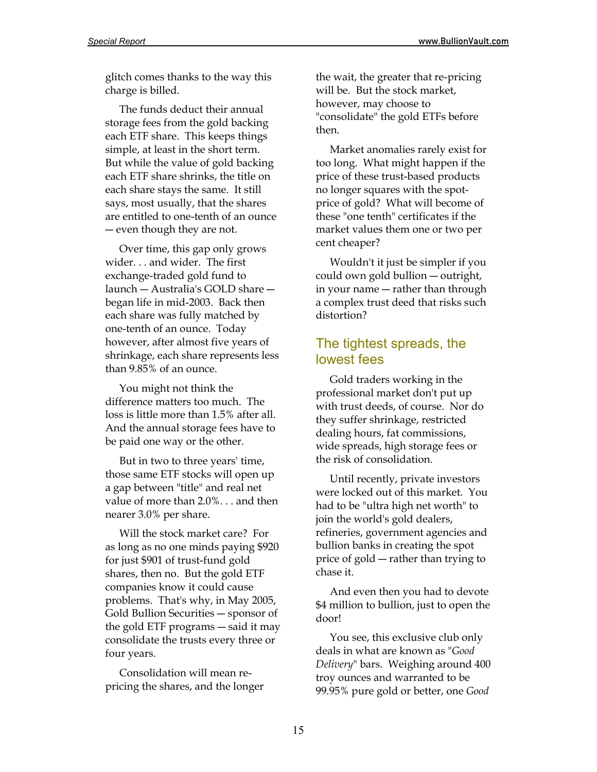glitch comes thanks to the way this charge is billed.

 The funds deduct their annual storage fees from the gold backing each ETF share. This keeps things simple, at least in the short term. But while the value of gold backing each ETF share shrinks, the title on each share stays the same. It still says, most usually, that the shares are entitled to one-tenth of an ounce ― even though they are not.

 Over time, this gap only grows wider. . . and wider. The first exchange-traded gold fund to launch ― Australia's GOLD share ― began life in mid-2003. Back then each share was fully matched by one-tenth of an ounce. Today however, after almost five years of shrinkage, each share represents less than 9.85% of an ounce.

 You might not think the difference matters too much. The loss is little more than 1.5% after all. And the annual storage fees have to be paid one way or the other.

 But in two to three years' time, those same ETF stocks will open up a gap between "title" and real net value of more than 2.0%. . . and then nearer 3.0% per share.

 Will the stock market care? For as long as no one minds paying \$920 for just \$901 of trust-fund gold shares, then no. But the gold ETF companies know it could cause problems. That's why, in May 2005, Gold Bullion Securities ― sponsor of the gold ETF programs ― said it may consolidate the trusts every three or four years.

 Consolidation will mean repricing the shares, and the longer

the wait, the greater that re-pricing will be. But the stock market, however, may choose to "consolidate" the gold ETFs before then.

 Market anomalies rarely exist for too long. What might happen if the price of these trust-based products no longer squares with the spotprice of gold? What will become of these "one tenth" certificates if the market values them one or two per cent cheaper?

 Wouldn't it just be simpler if you could own gold bullion ― outright, in your name ― rather than through a complex trust deed that risks such distortion?

### The tightest spreads, the lowest fees

 Gold traders working in the professional market don't put up with trust deeds, of course. Nor do they suffer shrinkage, restricted dealing hours, fat commissions, wide spreads, high storage fees or the risk of consolidation.

 Until recently, private investors were locked out of this market. You had to be "ultra high net worth" to join the world's gold dealers, refineries, government agencies and bullion banks in creating the spot price of gold ― rather than trying to chase it.

 And even then you had to devote \$4 million to bullion, just to open the door!

 You see, this exclusive club only deals in what are known as "*Good Delivery*" bars. Weighing around 400 troy ounces and warranted to be 99.95% pure gold or better, one *Good*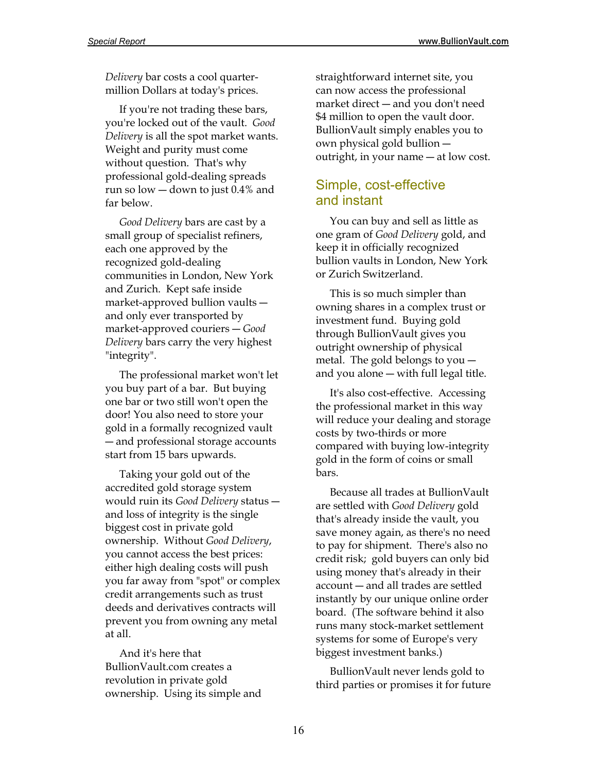*Delivery* bar costs a cool quartermillion Dollars at today's prices.

 If you're not trading these bars, you're locked out of the vault. *Good Delivery* is all the spot market wants. Weight and purity must come without question. That's why professional gold-dealing spreads run so low ― down to just 0.4% and far below.

 *Good Delivery* bars are cast by a small group of specialist refiners, each one approved by the recognized gold-dealing communities in London, New York and Zurich. Kept safe inside market-approved bullion vaults ― and only ever transported by market-approved couriers ― *Good Delivery* bars carry the very highest "integrity".

 The professional market won't let you buy part of a bar. But buying one bar or two still won't open the door! You also need to store your gold in a formally recognized vault ― and professional storage accounts start from 15 bars upwards.

 Taking your gold out of the accredited gold storage system would ruin its *Good Delivery* status ― and loss of integrity is the single biggest cost in private gold ownership. Without *Good Delivery*, you cannot access the best prices: either high dealing costs will push you far away from "spot" or complex credit arrangements such as trust deeds and derivatives contracts will prevent you from owning any metal at all.

 And it's here that BullionVault.com creates a revolution in private gold ownership. Using its simple and straightforward internet site, you can now access the professional market direct ― and you don't need \$4 million to open the vault door. BullionVault simply enables you to own physical gold bullion ― outright, in your name ― at low cost.

### Simple, cost-effective and instant

 You can buy and sell as little as one gram of *Good Delivery* gold, and keep it in officially recognized bullion vaults in London, New York or Zurich Switzerland.

 This is so much simpler than owning shares in a complex trust or investment fund. Buying gold through BullionVault gives you outright ownership of physical metal. The gold belongs to you ― and you alone ― with full legal title.

 It's also cost-effective. Accessing the professional market in this way will reduce your dealing and storage costs by two-thirds or more compared with buying low-integrity gold in the form of coins or small bars.

 Because all trades at BullionVault are settled with *Good Delivery* gold that's already inside the vault, you save money again, as there's no need to pay for shipment. There's also no credit risk; gold buyers can only bid using money that's already in their account ― and all trades are settled instantly by our unique online order board. (The software behind it also runs many stock-market settlement systems for some of Europe's very biggest investment banks.)

 BullionVault never lends gold to third parties or promises it for future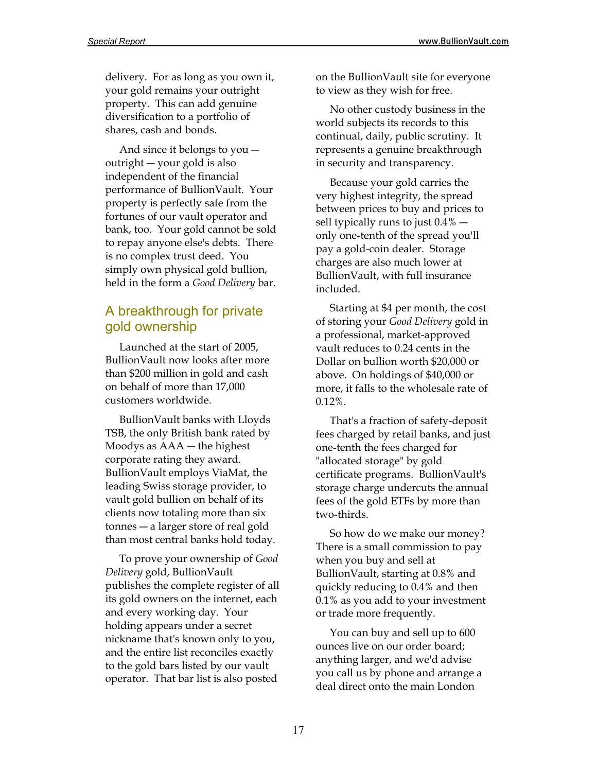delivery. For as long as you own it, your gold remains your outright property. This can add genuine diversification to a portfolio of shares, cash and bonds.

 And since it belongs to you ― outright ― your gold is also independent of the financial performance of BullionVault. Your property is perfectly safe from the fortunes of our vault operator and bank, too. Your gold cannot be sold to repay anyone else's debts. There is no complex trust deed. You simply own physical gold bullion, held in the form a *Good Delivery* bar.

### A breakthrough for private gold ownership

 Launched at the start of 2005, BullionVault now looks after more than \$200 million in gold and cash on behalf of more than 17,000 customers worldwide.

 BullionVault banks with Lloyds TSB, the only British bank rated by Moodys as AAA ― the highest corporate rating they award. BullionVault employs ViaMat, the leading Swiss storage provider, to vault gold bullion on behalf of its clients now totaling more than six tonnes ― a larger store of real gold than most central banks hold today.

 To prove your ownership of *Good Delivery* gold, BullionVault publishes the complete register of all its gold owners on the internet, each and every working day. Your holding appears under a secret nickname that's known only to you, and the entire list reconciles exactly to the gold bars listed by our vault operator. That bar list is also posted

on the BullionVault site for everyone to view as they wish for free.

 No other custody business in the world subjects its records to this continual, daily, public scrutiny. It represents a genuine breakthrough in security and transparency.

 Because your gold carries the very highest integrity, the spread between prices to buy and prices to sell typically runs to just 0.4% ― only one-tenth of the spread you'll pay a gold-coin dealer. Storage charges are also much lower at BullionVault, with full insurance included.

 Starting at \$4 per month, the cost of storing your *Good Delivery* gold in a professional, market-approved vault reduces to 0.24 cents in the Dollar on bullion worth \$20,000 or above. On holdings of \$40,000 or more, it falls to the wholesale rate of 0.12%.

 That's a fraction of safety-deposit fees charged by retail banks, and just one-tenth the fees charged for "allocated storage" by gold certificate programs. BullionVault's storage charge undercuts the annual fees of the gold ETFs by more than two-thirds.

 So how do we make our money? There is a small commission to pay when you buy and sell at BullionVault, starting at 0.8% and quickly reducing to 0.4% and then 0.1% as you add to your investment or trade more frequently.

 You can buy and sell up to 600 ounces live on our order board; anything larger, and we'd advise you call us by phone and arrange a deal direct onto the main London